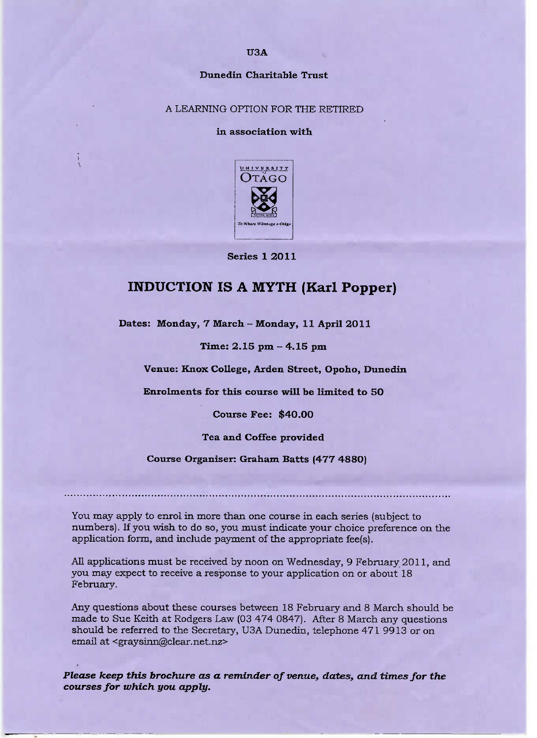### Dunedin **Charitable Trust**

#### A LEARNING OPTION FOR THE RETIRED

### **in association with**



**Series 1 2011**

# INDUCTION IS A MYTH (Karl **Popper)**

**Dates: Monday, 7 March - Monday, 11 April 2011**

**Time: 2.15 pm - 4.15 pm**

**Venue: Knox College, Arden Street, Opoho, Dunedin**

**Enrolments for this course will be limited to 50**

**Course Fee: \$40.00**

**Tea and Coffee provided**

**Course Organiser: Graham Batts (477 4880)**

You may apply to enrol in more than one course in each series (subject to numbers). If you wish to do so, you must indicate your choice preference on the application form, and include payment of the appropriate fee(s).

All applications must be received by noon on Wednesday, 9 February 2011, and you may expect to receive a response to your application on or about 18 February.

Any questions about these courses between 18 February and 8 March should be made to Sue Keith at Rodgers Law (03 474 0847). After 8 March any questions should be referred to the Secretary, U3A Dunedin, telephone 471 9913 or on email at <graysinn@clear.net.nz>

*Please keep this brochure as a reminder of venue, dates, and times for the courses for which you apply.*